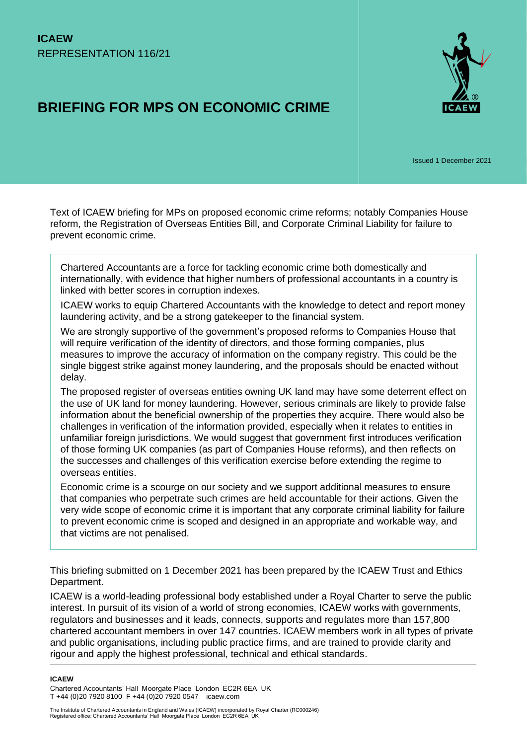# **BRIEFING FOR MPS ON ECONOMIC CRIME**



Issued 1 December 2021

Text of ICAEW briefing for MPs on proposed economic crime reforms; notably Companies House reform, the Registration of Overseas Entities Bill, and Corporate Criminal Liability for failure to prevent economic crime.

Chartered Accountants are a force for tackling economic crime both domestically and internationally, with evidence that higher numbers of professional accountants in a country is linked with better scores in corruption indexes.

ICAEW works to equip Chartered Accountants with the knowledge to detect and report money laundering activity, and be a strong gatekeeper to the financial system.

We are strongly supportive of the government's proposed reforms to Companies House that will require verification of the identity of directors, and those forming companies, plus measures to improve the accuracy of information on the company registry. This could be the single biggest strike against money laundering, and the proposals should be enacted without delay.

The proposed register of overseas entities owning UK land may have some deterrent effect on the use of UK land for money laundering. However, serious criminals are likely to provide false information about the beneficial ownership of the properties they acquire. There would also be challenges in verification of the information provided, especially when it relates to entities in unfamiliar foreign jurisdictions. We would suggest that government first introduces verification of those forming UK companies (as part of Companies House reforms), and then reflects on the successes and challenges of this verification exercise before extending the regime to overseas entities.

Economic crime is a scourge on our society and we support additional measures to ensure that companies who perpetrate such crimes are held accountable for their actions. Given the very wide scope of economic crime it is important that any corporate criminal liability for failure to prevent economic crime is scoped and designed in an appropriate and workable way, and that victims are not penalised.

This briefing submitted on 1 December 2021 has been prepared by the ICAEW Trust and Ethics Department.

ICAEW is a world-leading professional body established under a Royal Charter to serve the public interest. In pursuit of its vision of a world of strong economies, ICAEW works with governments, regulators and businesses and it leads, connects, supports and regulates more than 157,800 chartered accountant members in over 147 countries. ICAEW members work in all types of private and public organisations, including public practice firms, and are trained to provide clarity and rigour and apply the highest professional, technical and ethical standards.

**ICAEW** 

Chartered Accountants' Hall Moorgate Place London EC2R 6EA UK T +44 (0)20 7920 8100 F +44 (0)20 7920 0547 icaew.com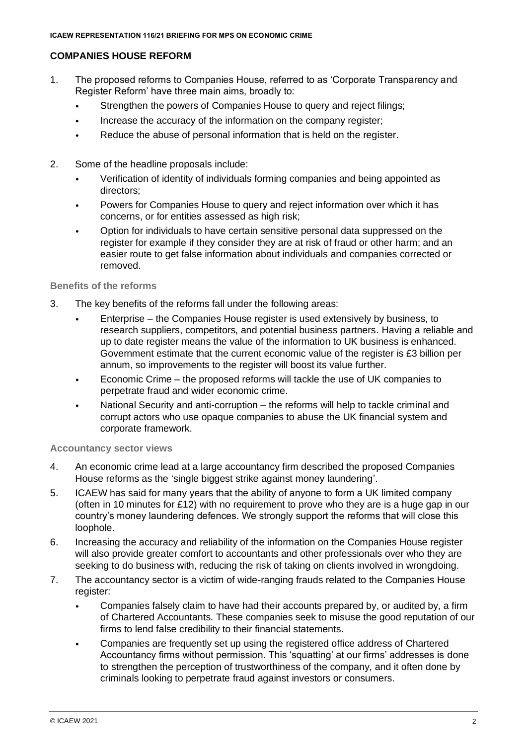# **COMPANIES HOUSE REFORM**

- 1. The proposed reforms to Companies House, referred to as 'Corporate Transparency and Register Reform' have three main aims, broadly to:
	- Strengthen the powers of Companies House to query and reject filings;
	- Increase the accuracy of the information on the company register;
	- Reduce the abuse of personal information that is held on the register.
- 2. Some of the headline proposals include:
	- Verification of identity of individuals forming companies and being appointed as directors;
	- Powers for Companies House to query and reject information over which it has concerns, or for entities assessed as high risk;
	- Option for individuals to have certain sensitive personal data suppressed on the register for example if they consider they are at risk of fraud or other harm; and an easier route to get false information about individuals and companies corrected or removed.

### **Benefits of the reforms**

- 3. The key benefits of the reforms fall under the following areas:
	- Enterprise the Companies House register is used extensively by business, to research suppliers, competitors, and potential business partners. Having a reliable and up to date register means the value of the information to UK business is enhanced. Government estimate that the current economic value of the register is £3 billion per annum, so improvements to the register will boost its value further.
	- Economic Crime the proposed reforms will tackle the use of UK companies to perpetrate fraud and wider economic crime.
	- National Security and anti-corruption the reforms will help to tackle criminal and corrupt actors who use opaque companies to abuse the UK financial system and corporate framework.

#### **Accountancy sector views**

- 4. An economic crime lead at a large accountancy firm described the proposed Companies House reforms as the 'single biggest strike against money laundering'.
- 5. ICAEW has said for many years that the ability of anyone to form a UK limited company (often in 10 minutes for £12) with no requirement to prove who they are is a huge gap in our country's money laundering defences. We strongly support the reforms that will close this loophole.
- 6. Increasing the accuracy and reliability of the information on the Companies House register will also provide greater comfort to accountants and other professionals over who they are seeking to do business with, reducing the risk of taking on clients involved in wrongdoing.
- 7. The accountancy sector is a victim of wide-ranging frauds related to the Companies House register:
	- Companies falsely claim to have had their accounts prepared by, or audited by, a firm of Chartered Accountants. These companies seek to misuse the good reputation of our firms to lend false credibility to their financial statements.
	- Companies are frequently set up using the registered office address of Chartered Accountancy firms without permission. This 'squatting' at our firms' addresses is done to strengthen the perception of trustworthiness of the company, and it often done by criminals looking to perpetrate fraud against investors or consumers.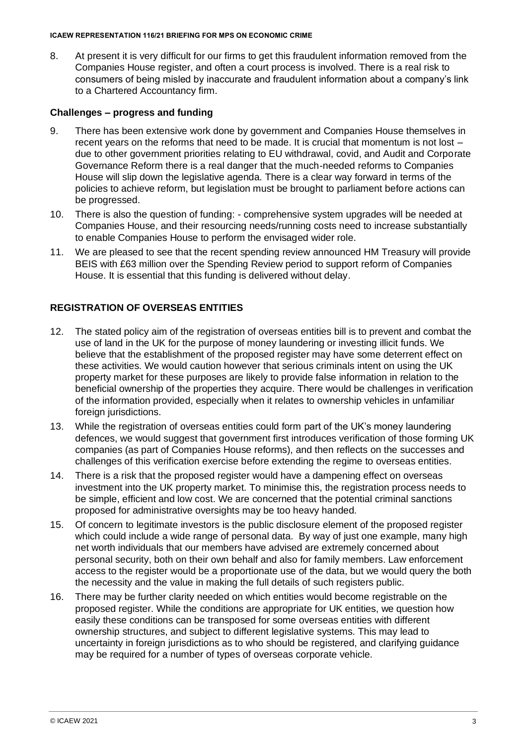#### **ICAEW REPRESENTATION 116/21 BRIEFING FOR MPS ON ECONOMIC CRIME**

8. At present it is very difficult for our firms to get this fraudulent information removed from the Companies House register, and often a court process is involved. There is a real risk to consumers of being misled by inaccurate and fraudulent information about a company's link to a Chartered Accountancy firm.

# **Challenges – progress and funding**

- 9. There has been extensive work done by government and Companies House themselves in recent years on the reforms that need to be made. It is crucial that momentum is not lost – due to other government priorities relating to EU withdrawal, covid, and Audit and Corporate Governance Reform there is a real danger that the much-needed reforms to Companies House will slip down the legislative agenda. There is a clear way forward in terms of the policies to achieve reform, but legislation must be brought to parliament before actions can be progressed.
- 10. There is also the question of funding: comprehensive system upgrades will be needed at Companies House, and their resourcing needs/running costs need to increase substantially to enable Companies House to perform the envisaged wider role.
- 11. We are pleased to see that the recent spending review announced HM Treasury will provide BEIS with £63 million over the Spending Review period to support reform of Companies House. It is essential that this funding is delivered without delay.

# **REGISTRATION OF OVERSEAS ENTITIES**

- 12. The stated policy aim of the registration of overseas entities bill is to prevent and combat the use of land in the UK for the purpose of money laundering or investing illicit funds. We believe that the establishment of the proposed register may have some deterrent effect on these activities. We would caution however that serious criminals intent on using the UK property market for these purposes are likely to provide false information in relation to the beneficial ownership of the properties they acquire. There would be challenges in verification of the information provided, especially when it relates to ownership vehicles in unfamiliar foreign jurisdictions.
- 13. While the registration of overseas entities could form part of the UK's money laundering defences, we would suggest that government first introduces verification of those forming UK companies (as part of Companies House reforms), and then reflects on the successes and challenges of this verification exercise before extending the regime to overseas entities.
- 14. There is a risk that the proposed register would have a dampening effect on overseas investment into the UK property market. To minimise this, the registration process needs to be simple, efficient and low cost. We are concerned that the potential criminal sanctions proposed for administrative oversights may be too heavy handed.
- 15. Of concern to legitimate investors is the public disclosure element of the proposed register which could include a wide range of personal data. By way of just one example, many high net worth individuals that our members have advised are extremely concerned about personal security, both on their own behalf and also for family members. Law enforcement access to the register would be a proportionate use of the data, but we would query the both the necessity and the value in making the full details of such registers public.
- 16. There may be further clarity needed on which entities would become registrable on the proposed register. While the conditions are appropriate for UK entities, we question how easily these conditions can be transposed for some overseas entities with different ownership structures, and subject to different legislative systems. This may lead to uncertainty in foreign jurisdictions as to who should be registered, and clarifying guidance may be required for a number of types of overseas corporate vehicle.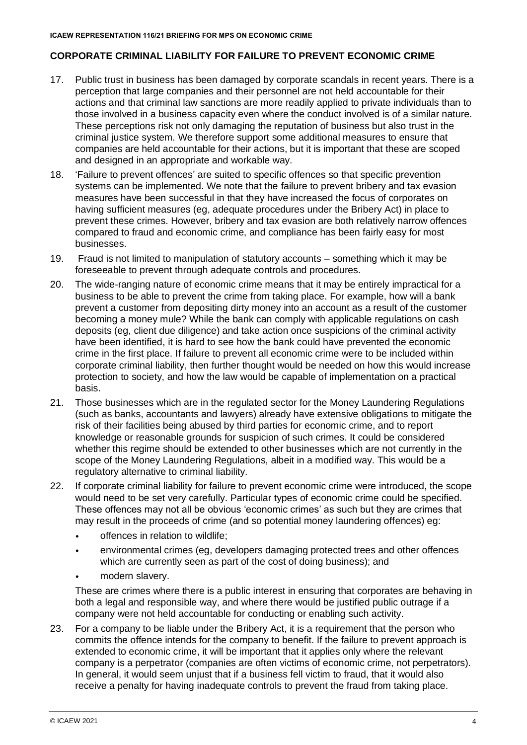# **CORPORATE CRIMINAL LIABILITY FOR FAILURE TO PREVENT ECONOMIC CRIME**

- 17. Public trust in business has been damaged by corporate scandals in recent years. There is a perception that large companies and their personnel are not held accountable for their actions and that criminal law sanctions are more readily applied to private individuals than to those involved in a business capacity even where the conduct involved is of a similar nature. These perceptions risk not only damaging the reputation of business but also trust in the criminal justice system. We therefore support some additional measures to ensure that companies are held accountable for their actions, but it is important that these are scoped and designed in an appropriate and workable way.
- 18. 'Failure to prevent offences' are suited to specific offences so that specific prevention systems can be implemented. We note that the failure to prevent bribery and tax evasion measures have been successful in that they have increased the focus of corporates on having sufficient measures (eg, adequate procedures under the Bribery Act) in place to prevent these crimes. However, bribery and tax evasion are both relatively narrow offences compared to fraud and economic crime, and compliance has been fairly easy for most businesses.
- 19. Fraud is not limited to manipulation of statutory accounts something which it may be foreseeable to prevent through adequate controls and procedures.
- 20. The wide-ranging nature of economic crime means that it may be entirely impractical for a business to be able to prevent the crime from taking place. For example, how will a bank prevent a customer from depositing dirty money into an account as a result of the customer becoming a money mule? While the bank can comply with applicable regulations on cash deposits (eg, client due diligence) and take action once suspicions of the criminal activity have been identified, it is hard to see how the bank could have prevented the economic crime in the first place. If failure to prevent all economic crime were to be included within corporate criminal liability, then further thought would be needed on how this would increase protection to society, and how the law would be capable of implementation on a practical basis.
- 21. Those businesses which are in the regulated sector for the Money Laundering Regulations (such as banks, accountants and lawyers) already have extensive obligations to mitigate the risk of their facilities being abused by third parties for economic crime, and to report knowledge or reasonable grounds for suspicion of such crimes. It could be considered whether this regime should be extended to other businesses which are not currently in the scope of the Money Laundering Regulations, albeit in a modified way. This would be a regulatory alternative to criminal liability.
- 22. If corporate criminal liability for failure to prevent economic crime were introduced, the scope would need to be set very carefully. Particular types of economic crime could be specified. These offences may not all be obvious 'economic crimes' as such but they are crimes that may result in the proceeds of crime (and so potential money laundering offences) eg:
	- offences in relation to wildlife;
	- environmental crimes (eg, developers damaging protected trees and other offences which are currently seen as part of the cost of doing business); and
	- modern slavery.

These are crimes where there is a public interest in ensuring that corporates are behaving in both a legal and responsible way, and where there would be justified public outrage if a company were not held accountable for conducting or enabling such activity.

23. For a company to be liable under the Bribery Act, it is a requirement that the person who commits the offence intends for the company to benefit. If the failure to prevent approach is extended to economic crime, it will be important that it applies only where the relevant company is a perpetrator (companies are often victims of economic crime, not perpetrators). In general, it would seem unjust that if a business fell victim to fraud, that it would also receive a penalty for having inadequate controls to prevent the fraud from taking place.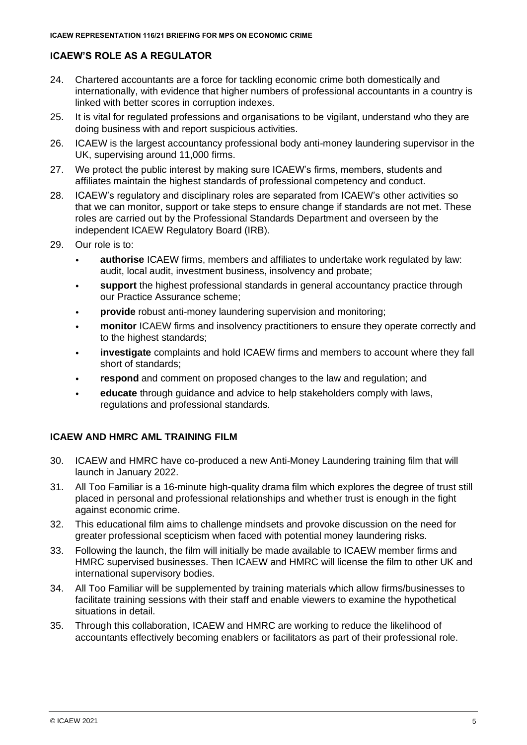# **ICAEW'S ROLE AS A REGULATOR**

- 24. Chartered accountants are a force for tackling economic crime both domestically and internationally, with evidence that higher numbers of professional accountants in a country is linked with better scores in corruption indexes.
- 25. It is vital for regulated professions and organisations to be vigilant, understand who they are doing business with and report suspicious activities.
- 26. ICAEW is the largest accountancy professional body anti-money laundering supervisor in the UK, supervising around 11,000 firms.
- 27. We protect the public interest by making sure ICAEW's firms, members, students and affiliates maintain the highest standards of professional competency and conduct.
- 28. ICAEW's regulatory and disciplinary roles are separated from ICAEW's other activities so that we can monitor, support or take steps to ensure change if standards are not met. These roles are carried out by the Professional Standards Department and overseen by the independent ICAEW Regulatory Board (IRB).
- 29. Our role is to:
	- **authorise** ICAEW firms, members and affiliates to undertake work regulated by law: audit, local audit, investment business, insolvency and probate;
	- **support** the highest professional standards in general accountancy practice through our Practice Assurance scheme;
	- **provide** robust anti-money laundering supervision and monitoring;
	- **monitor** ICAEW firms and insolvency practitioners to ensure they operate correctly and to the highest standards;
	- **investigate** complaints and hold ICAEW firms and members to account where they fall short of standards;
	- **respond** and comment on proposed changes to the law and regulation; and
	- **educate** through guidance and advice to help stakeholders comply with laws, regulations and professional standards.

## **ICAEW AND HMRC AML TRAINING FILM**

- 30. ICAEW and HMRC have co-produced a new Anti-Money Laundering training film that will launch in January 2022.
- 31. All Too Familiar is a 16-minute high-quality drama film which explores the degree of trust still placed in personal and professional relationships and whether trust is enough in the fight against economic crime.
- 32. This educational film aims to challenge mindsets and provoke discussion on the need for greater professional scepticism when faced with potential money laundering risks.
- 33. Following the launch, the film will initially be made available to ICAEW member firms and HMRC supervised businesses. Then ICAEW and HMRC will license the film to other UK and international supervisory bodies.
- 34. All Too Familiar will be supplemented by training materials which allow firms/businesses to facilitate training sessions with their staff and enable viewers to examine the hypothetical situations in detail.
- 35. Through this collaboration, ICAEW and HMRC are working to reduce the likelihood of accountants effectively becoming enablers or facilitators as part of their professional role.